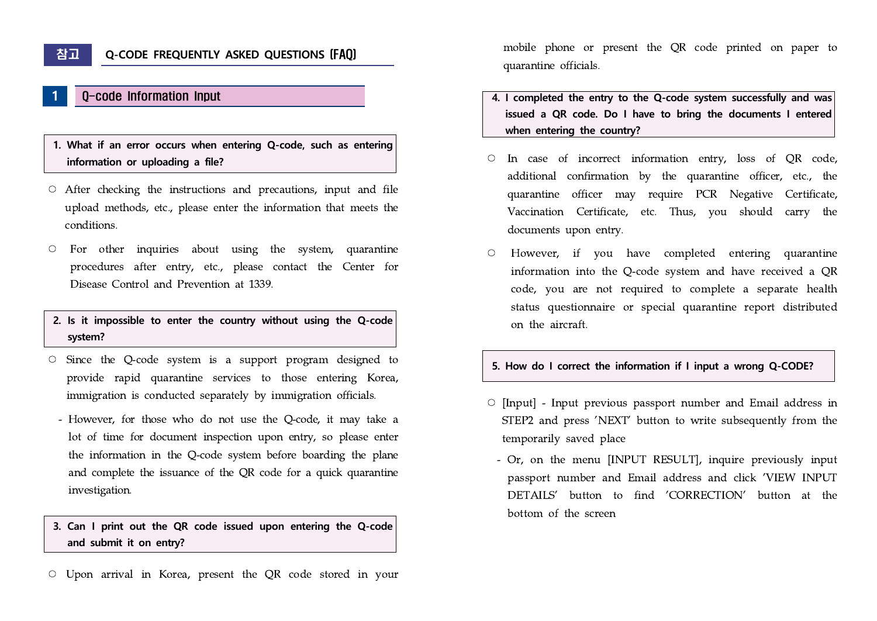# **1** Q-code Information Input

### **1. What if an error occurs when entering Q-code, such as entering information or uploading a file?**

- $\circ$  After checking the instructions and precautions, input and file upload methods, etc., please enter the information that meets the conditions.
- For other inquiries about using the system, quarantine procedures after entry, etc., please contact the Center for Disease Control and Prevention at 1339.

#### **2. Is it impossible to enter the country without using the Q-code system?**

- Since the Q-code system is a support program designed to provide rapid quarantine services to those entering Korea, immigration is conducted separately by immigration officials.
	- However, for those who do not use the Q-code, it may take a lot of time for document inspection upon entry, so please enter the information in the Q-code system before boarding the plane and complete the issuance of the QR code for a quick quarantine investigation.

#### **3. Can I print out the QR code issued upon entering the Q-code and submit it on entry?**

○ Upon arrival in Korea, present the QR code stored in your

mobile phone or present the QR code printed on paper to quarantine officials.

- **4. I completed the entry to the Q-code system successfully and was issued a QR code. Do I have to bring the documents I entered when entering the country?**
- In case of incorrect information entry, loss of QR code, additional confirmation by the quarantine officer, etc., the quarantine officer may require PCR Negative Certificate, Vaccination Certificate, etc. Thus, you should carry the documents upon entry.
- However, if you have completed entering quarantine information into the Q-code system and have received a QR code, you are not required to complete a separate health status questionnaire or special quarantine report distributed on the aircraft.

#### **5. How do I correct the information if I input a wrong Q-CODE?**

- [Input] Input previous passport number and Email address in STEP2 and press 'NEXT' button to write subsequently from the temporarily saved place
- Or, on the menu [INPUT RESULT], inquire previously input passport number and Email address and click 'VIEW INPUT DETAILS' button to find 'CORRECTION' button at the bottom of the screen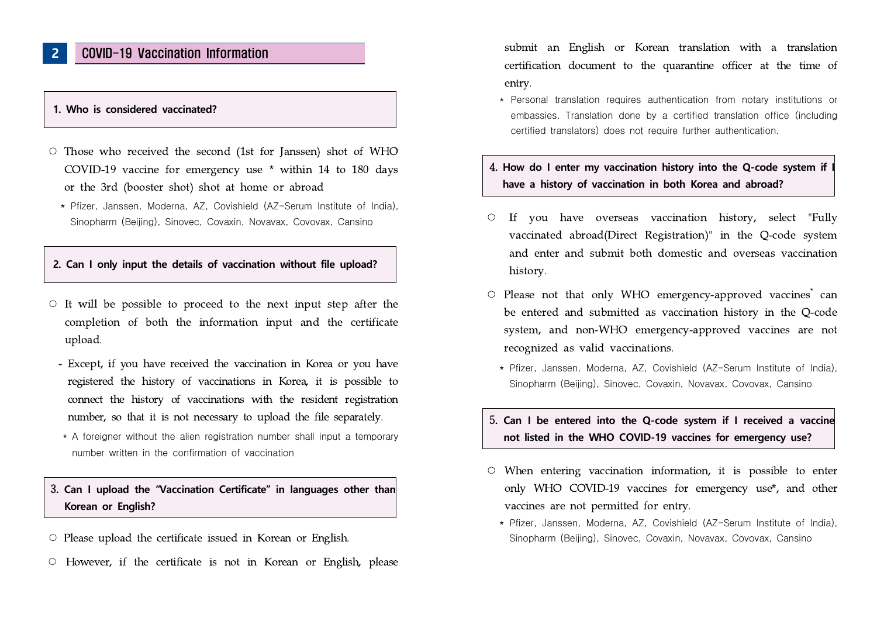## **2** COVID-19 Vaccination Information

#### **1. Who is considered vaccinated?**

- $\circ$  Those who received the second (1st for Janssen) shot of WHO COVID-19 vaccine for emergency use \* within 14 to 180 days or the 3rd (booster shot) shot at home or abroad
	- \* Pfizer, Janssen, Moderna, AZ, Covishield (AZ-Serum Institute of India), Sinopharm (Beijing), Sinovec, Covaxin, Novavax, Covovax, Cansino

#### **2. Can I only input the details of vaccination without file upload?**

- $\circ$  It will be possible to proceed to the next input step after the completion of both the information input and the certificate upload.
	- Except, if you have received the vaccination in Korea or you have registered the history of vaccinations in Korea, it is possible to connect the history of vaccinations with the resident registration number, so that it is not necessary to upload the file separately.
	- \* A foreigner without the alien registration number shall input a temporary number written in the confirmation of vaccination

### 3**. Can I upload the "Vaccination Certificate" in languages other than Korean or English?**

- $\circ$  Please upload the certificate issued in Korean or English.
- However, if the certificate is not in Korean or English, please

submit an English or Korean translation with a translation certification document to the quarantine officer at the time of entry.

 \* Personal translation requires authentication from notary institutions or embassies. Translation done by a certified translation office (including certified translators) does not require further authentication.

### 4. How do I enter my vaccination history into the Q-code system if **have a history of vaccination in both Korea and abroad?**

- If you have overseas vaccination history, select "Fully vaccinated abroad(Direct Registration)" in the Q-code system and enter and submit both domestic and overseas vaccination history.
- $\circ$  Please not that only WHO emergency-approved vaccines can be entered and submitted as vaccination history in the Q-code system, and non-WHO emergency-approved vaccines are not recognized as valid vaccinations.
	- \* Pfizer, Janssen, Moderna, AZ, Covishield (AZ-Serum Institute of India), Sinopharm (Beijing), Sinovec, Covaxin, Novavax, Covovax, Cansino

#### 5**. Can I be entered into the Q-code system if I received a vaccine not listed in the WHO COVID-19 vaccines for emergency use?**

- When entering vaccination information, it is possible to enter only WHO COVID-19 vaccines for emergency use\*, and other vaccines are not permitted for entry.
	- \* Pfizer, Janssen, Moderna, AZ, Covishield (AZ-Serum Institute of India), Sinopharm (Beijing), Sinovec, Covaxin, Novavax, Covovax, Cansino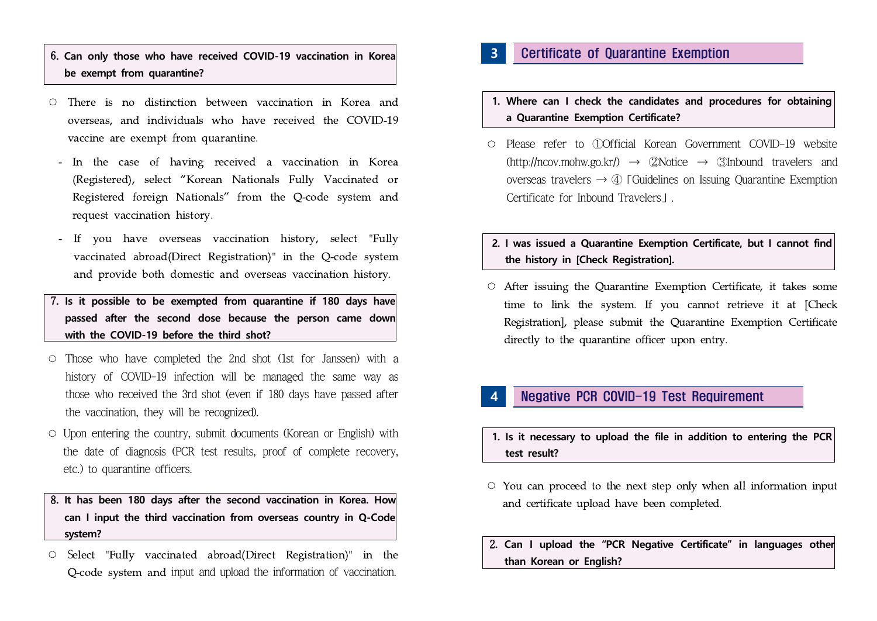# 6**. Can only those who have received COVID-19 vaccination in Korea be exempt from quarantine?**

- $\circ$  There is no distinction between vaccination in Korea and overseas, and individuals who have received the COVID-19 vaccine are exempt from quarantine.
	- In the case of having received a vaccination in Korea (Registered), select "Korean Nationals Fully Vaccinated or Registered foreign Nationals" from the Q-code system and request vaccination history.
- If you have overseas vaccination history, select "Fully vaccinated abroad(Direct Registration)" in the Q-code system and provide both domestic and overseas vaccination history. 7**. Is it possible to be exempted from quarantine if 180 days have**
- **passed after the second dose because the person came down with the COVID-19 before the third shot?**
- Those who have completed the 2nd shot (1st for Janssen) with a history of COVID-19 infection will be managed the same way as those who received the 3rd shot (even if 180 days have passed after the vaccination, they will be recognized).
- $\circ$  Upon entering the country, submit documents (Korean or English) with the date of diagnosis (PCR test results, proof of complete recovery, etc.) to quarantine officers.

### 8**. It has been 180 days after the second vaccination in Korea. How can I input the third vaccination from overseas country in Q-Code system?**

○ Select "Fully vaccinated abroad(Direct Registration)" in the Q-code system and input and upload the information of vaccination.

## **3** Certificate of Quarantine Exemption

- **1. Where can I check the candidates and procedures for obtaining a Quarantine Exemption Certificate?**
- Please refer to ①Official Korean Government COVID-19 website  $(\text{http://ncov.mohw.gov.kr/}) \rightarrow \text{2Notice} \rightarrow \text{3Inbound}$  travelers and overseas travelers  $\rightarrow$  4) [Guidelines on Issuing Quarantine Exemption Certificate for Inbound Travelers」.

### **2. I was issued a Quarantine Exemption Certificate, but I cannot find the history in [Check Registration].**

○ After issuing the Quarantine Exemption Certificate, it takes some time to link the system. If you cannot retrieve it at [Check Registration], please submit the Quarantine Exemption Certificate directly to the quarantine officer upon entry.

## **4** Negative PCR COVID-19 Test Requirement

- **1. Is it necessary to upload the file in addition to entering the PCR test result?**
- $\circ$  You can proceed to the next step only when all information input and certificate upload have been completed.
- 2**. Can I upload the "PCR Negative Certificate" in languages other than Korean or English?**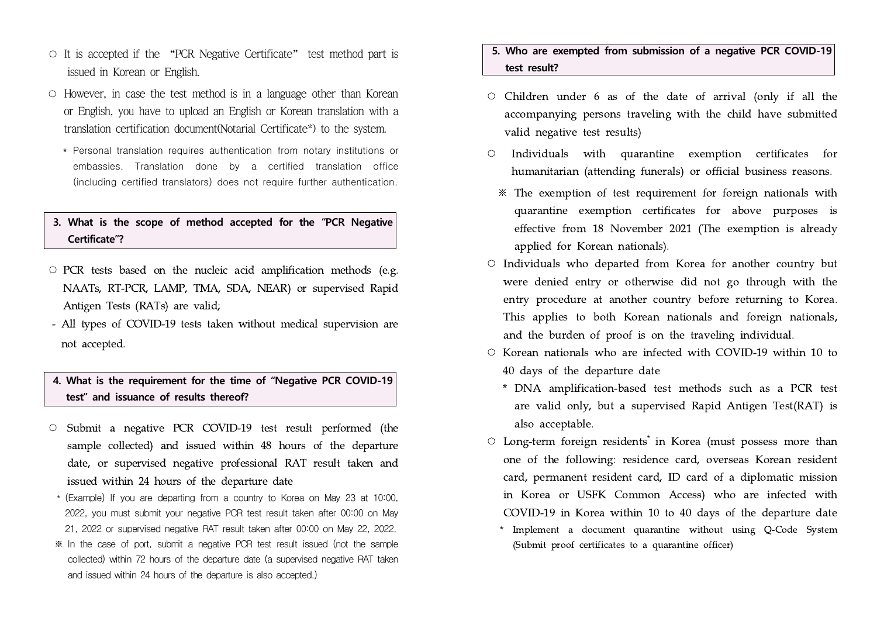- $\circ$  It is accepted if the "PCR Negative Certificate" test method part is issued in Korean or English.
- $\circ$  However, in case the test method is in a language other than Korean or English, you have to upload an English or Korean translation with a translation certification document(Notarial Certificate\*) to the system.
	- \* Personal translation requires authentication from notary institutions or embassies. Translation done by a certified translation office (including certified translators) does not require further authentication.

### **3. What is the scope of method accepted for the "PCR Negative Certificate"?**

- $\circ$  PCR tests based on the nucleic acid amplification methods (e.g. NAATs, RT-PCR, LAMP, TMA, SDA, NEAR) or supervised Rapid Antigen Tests (RATs) are valid;
- All types of COVID-19 tests taken without medical supervision are not accepted.

### **4. What is the requirement for the time of "Negative PCR COVID-19 test" and issuance of results thereof?**

- Submit a negative PCR COVID-19 test result performed (the sample collected) and issued within 48 hours of the departure date, or supervised negative professional RAT result taken and issued within 24 hours of the departure date
- \* (Example) If you are departing from a country to Korea on May 23 at 10:00, 2022, you must submit your negative PCR test result taken after 00:00 on May 21, 2022 or supervised negative RAT result taken after 00:00 on May 22, 2022.
- ※ In the case of port, submit a negative PCR test result issued (not the sample collected) within 72 hours of the departure date (a supervised negative RAT taken and issued within 24 hours of the departure is also accepted.)

### **5. Who are exempted from submission of a negative PCR COVID-19 test result?**

- Children under 6 as of the date of arrival (only if all the accompanying persons traveling with the child have submitted valid negative test results)
- Individuals with quarantine exemption certificates for humanitarian (attending funerals) or official business reasons.
	- ※ The exemption of test requirement for foreign nationals with quarantine exemption certificates for above purposes is effective from 18 November 2021 (The exemption is already applied for Korean nationals).
- Individuals who departed from Korea for another country but were denied entry or otherwise did not go through with the entry procedure at another country before returning to Korea. This applies to both Korean nationals and foreign nationals, and the burden of proof is on the traveling individual.
- Korean nationals who are infected with COVID-19 within 10 to 40 days of the departure date
	- \* DNA amplification-based test methods such as a PCR test are valid only, but a supervised Rapid Antigen Test(RAT) is also acceptable.
- $\circ$  Long-term foreign residents<sup>\*</sup> in Korea (must possess more than one of the following: residence card, overseas Korean resident card, permanent resident card, ID card of a diplomatic mission in Korea or USFK Common Access) who are infected with COVID-19 in Korea within 10 to 40 days of the departure date
	- \* Implement a document quarantine without using Q-Code System (Submit proof certificates to a quarantine officer)